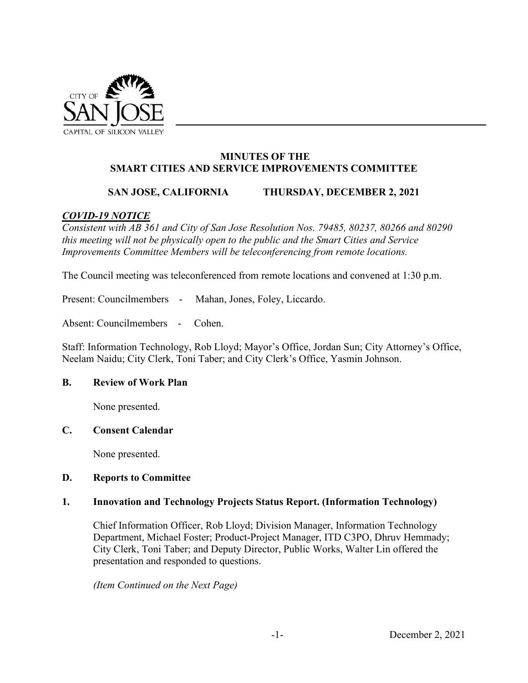

## **MINUTES OF THE SMART CITIES AND SERVICE IMPROVEMENTS COMMITTEE**

# **SAN JOSE, CALIFORNIA THURSDAY, DECEMBER 2, 2021**

# *COVID-19 NOTICE*

*Consistent with AB 361 and City of San Jose Resolution Nos. 79485, 80237, 80266 and 80290 this meeting will not be physically open to the public and the Smart Cities and Service Improvements Committee Members will be teleconferencing from remote locations.* 

The Council meeting was teleconferenced from remote locations and convened at 1:30 p.m.

Present: Councilmembers - Mahan, Jones, Foley, Liccardo.

Absent: Councilmembers - Cohen.

Staff: Information Technology, Rob Lloyd; Mayor's Office, Jordan Sun; City Attorney's Office, Neelam Naidu; City Clerk, Toni Taber; and City Clerk's Office, Yasmin Johnson.

### **B. Review of Work Plan**

None presented.

### **C. Consent Calendar**

None presented.

### **D. Reports to Committee**

### **1. Innovation and Technology Projects Status Report. (Information Technology)**

Chief Information Officer, Rob Lloyd; Division Manager, Information Technology Department, Michael Foster; Product-Project Manager, ITD C3PO, Dhruv Hemmady; City Clerk, Toni Taber; and Deputy Director, Public Works, Walter Lin offered the presentation and responded to questions.

*(Item Continued on the Next Page)*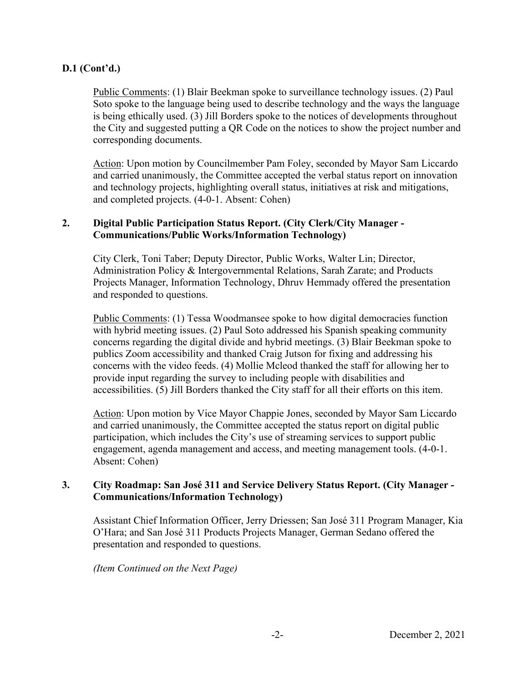# **D.1 (Cont'd.)**

Public Comments: (1) Blair Beekman spoke to surveillance technology issues. (2) Paul Soto spoke to the language being used to describe technology and the ways the language is being ethically used. (3) Jill Borders spoke to the notices of developments throughout the City and suggested putting a QR Code on the notices to show the project number and corresponding documents.

Action: Upon motion by Councilmember Pam Foley, seconded by Mayor Sam Liccardo and carried unanimously, the Committee accepted the verbal status report on innovation and technology projects, highlighting overall status, initiatives at risk and mitigations, and completed projects. (4-0-1. Absent: Cohen)

## **2. Digital Public Participation Status Report. (City Clerk/City Manager - Communications/Public Works/Information Technology)**

City Clerk, Toni Taber; Deputy Director, Public Works, Walter Lin; Director, Administration Policy & Intergovernmental Relations, Sarah Zarate; and Products Projects Manager, Information Technology, Dhruv Hemmady offered the presentation and responded to questions.

Public Comments: (1) Tessa Woodmansee spoke to how digital democracies function with hybrid meeting issues. (2) Paul Soto addressed his Spanish speaking community concerns regarding the digital divide and hybrid meetings. (3) Blair Beekman spoke to publics Zoom accessibility and thanked Craig Jutson for fixing and addressing his concerns with the video feeds. (4) Mollie Mcleod thanked the staff for allowing her to provide input regarding the survey to including people with disabilities and accessibilities. (5) Jill Borders thanked the City staff for all their efforts on this item.

Action: Upon motion by Vice Mayor Chappie Jones, seconded by Mayor Sam Liccardo and carried unanimously, the Committee accepted the status report on digital public participation, which includes the City's use of streaming services to support public engagement, agenda management and access, and meeting management tools. (4-0-1. Absent: Cohen)

## **3. City Roadmap: San José 311 and Service Delivery Status Report. (City Manager - Communications/Information Technology)**

Assistant Chief Information Officer, Jerry Driessen; San José 311 Program Manager, Kia O'Hara; and San José 311 Products Projects Manager, German Sedano offered the presentation and responded to questions.

*(Item Continued on the Next Page)*